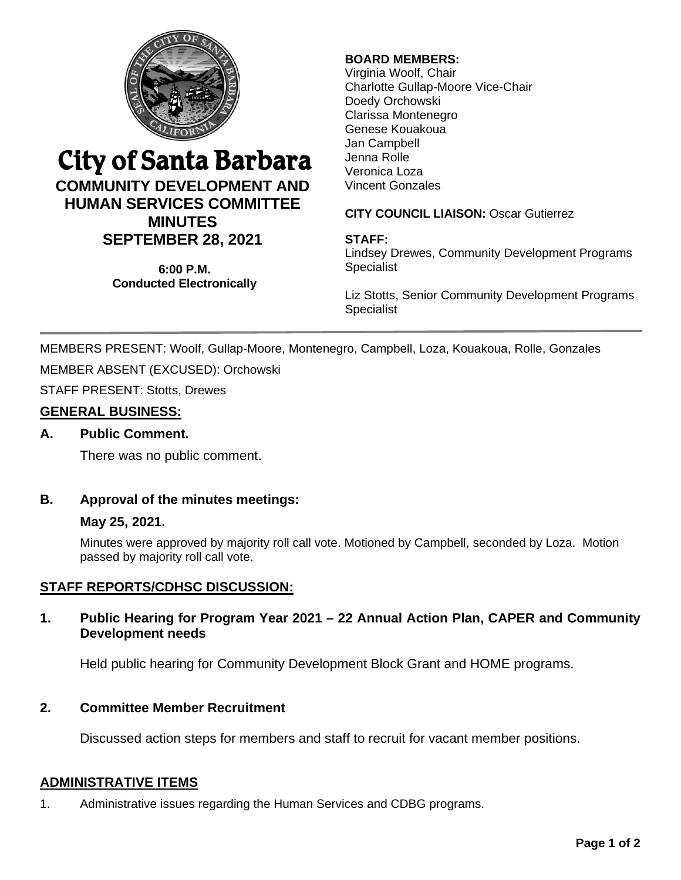

# City of Santa Barbara

## **COMMUNITY DEVELOPMENT AND HUMAN SERVICES COMMITTEE MINUTES SEPTEMBER 28, 2021**

**6:00 P.M. Conducted Electronically**

## **BOARD MEMBERS:**

Virginia Woolf, Chair Charlotte Gullap-Moore Vice-Chair Doedy Orchowski Clarissa Montenegro Genese Kouakoua Jan Campbell Jenna Rolle Veronica Loza Vincent Gonzales

### **CITY COUNCIL LIAISON:** Oscar Gutierrez

### **STAFF:**

Lindsey Drewes, Community Development Programs **Specialist** 

Liz Stotts, Senior Community Development Programs Specialist

MEMBERS PRESENT: Woolf, Gullap-Moore, Montenegro, Campbell, Loza, Kouakoua, Rolle, Gonzales MEMBER ABSENT (EXCUSED): Orchowski

STAFF PRESENT: Stotts, Drewes

## **GENERAL BUSINESS:**

#### **A. Public Comment.**

There was no public comment.

## **B. Approval of the minutes meetings:**

#### **May 25, 2021.**

Minutes were approved by majority roll call vote. Motioned by Campbell, seconded by Loza. Motion passed by majority roll call vote.

## **STAFF REPORTS/CDHSC DISCUSSION:**

#### **1. Public Hearing for Program Year 2021 – 22 Annual Action Plan, CAPER and Community Development needs**

Held public hearing for Community Development Block Grant and HOME programs.

## **2. Committee Member Recruitment**

Discussed action steps for members and staff to recruit for vacant member positions.

#### **ADMINISTRATIVE ITEMS**

1. Administrative issues regarding the Human Services and CDBG programs.